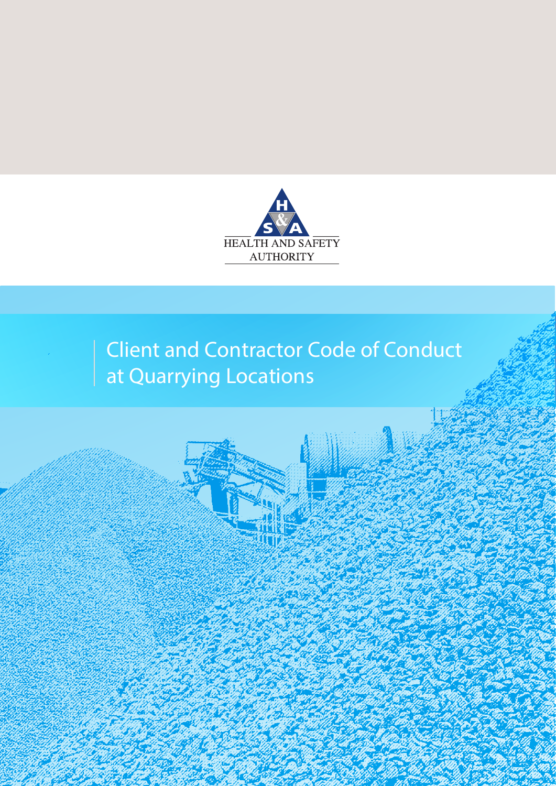

# Client and Contractor Code of Conduct at Quarrying Locations

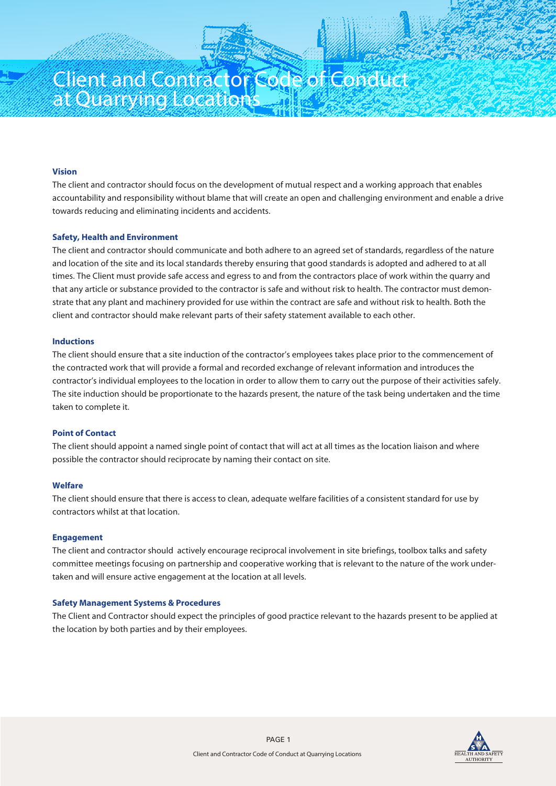# Client and Contractor Code of Conduct at Quarrying Locations

# **Vision**

The client and contractor should focus on the development of mutual respect and a working approach that enables accountability and responsibility without blame that will create an open and challenging environment and enable a drive towards reducing and eliminating incidents and accidents.

# **Safety, Health and Environment**

The client and contractor should communicate and both adhere to an agreed set of standards, regardless of the nature and location of the site and its local standards thereby ensuring that good standards is adopted and adhered to at all times. The Client must provide safe access and egress to and from the contractors place of work within the quarry and that any article or substance provided to the contractor is safe and without risk to health. The contractor must demonstrate that any plant and machinery provided for use within the contract are safe and without risk to health. Both the client and contractor should make relevant parts of their safety statement available to each other.

# **Inductions**

The client should ensure that a site induction of the contractor's employees takes place prior to the commencement of the contracted work that will provide a formal and recorded exchange of relevant information and introduces the contractor's individual employees to the location in order to allow them to carry out the purpose of their activities safely. The site induction should be proportionate to the hazards present, the nature of the task being undertaken and the time taken to complete it.

# **Point of Contact**

The client should appoint a named single point of contact that will act at all times as the location liaison and where possible the contractor should reciprocate by naming their contact on site.

# **Welfare**

The client should ensure that there is access to clean, adequate welfare facilities of a consistent standard for use by contractors whilst at that location.

#### **Engagement**

The client and contractor should actively encourage reciprocal involvement in site briefings, toolbox talks and safety committee meetings focusing on partnership and cooperative working that is relevant to the nature of the work undertaken and will ensure active engagement at the location at all levels.

#### **Safety Management Systems & Procedures**

The Client and Contractor should expect the principles of good practice relevant to the hazards present to be applied at the location by both parties and by their employees.